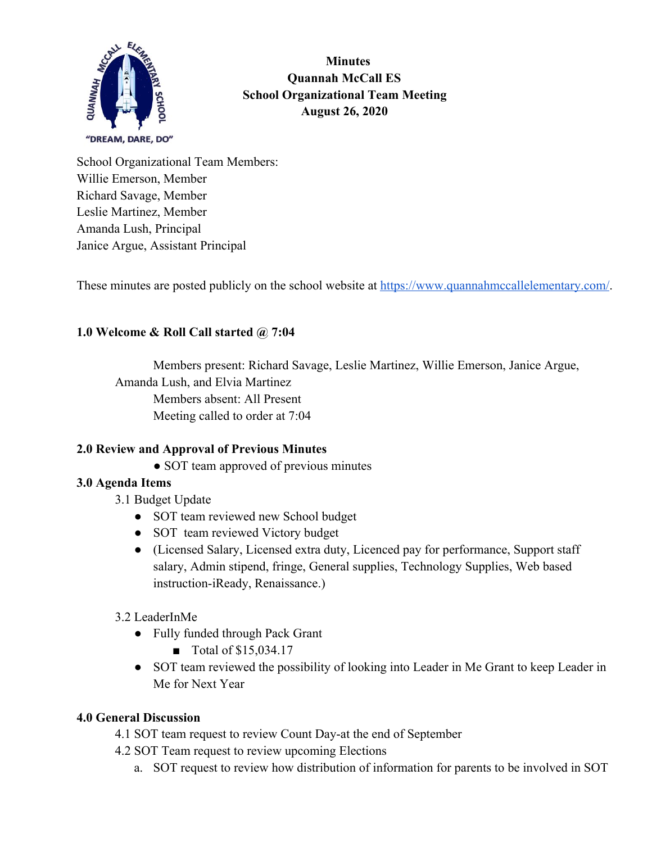

 **Minutes Quannah McCall ES School Organizational Team Meeting August 26, 2020**

School Organizational Team Members: Willie Emerson, Member Richard Savage, Member Leslie Martinez, Member Amanda Lush, Principal Janice Argue, Assistant Principal

These minutes are posted publicly on the school website at<https://www.quannahmccallelementary.com/>.

# **1.0 Welcome & Roll Call started @ 7:04**

Members present: Richard Savage, Leslie Martinez, Willie Emerson, Janice Argue, Amanda Lush, and Elvia Martinez Members absent: All Present Meeting called to order at 7:04

## **2.0 Review and Approval of Previous Minutes**

• SOT team approved of previous minutes

## **3.0 Agenda Items**

- 3.1 Budget Update
	- SOT team reviewed new School budget
	- SOT team reviewed Victory budget
	- (Licensed Salary, Licensed extra duty, Licenced pay for performance, Support staff salary, Admin stipend, fringe, General supplies, Technology Supplies, Web based instruction-iReady, Renaissance.)

## 3.2 LeaderInMe

- Fully funded through Pack Grant
	- Total of \$15,034.17
- SOT team reviewed the possibility of looking into Leader in Me Grant to keep Leader in Me for Next Year

#### **4.0 General Discussion**

- 4.1 SOT team request to review Count Day-at the end of September
- 4.2 SOT Team request to review upcoming Elections
	- a. SOT request to review how distribution of information for parents to be involved in SOT